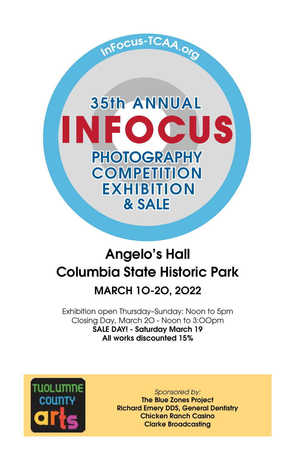# **35th ANNUAL INFOCUS PHOTOGRAPHY COMPETITION EXHIBITION** & SALE

InFocus-TCAA.org

# Angelo's Hall Columbia State Historic Park

### MARCH 1O-2O, 2O22

Exhibition open Thursday–Sunday: Noon to 5pm Closing Day, March 2O - Noon to 3:OOpm SALE DAY! - Saturday March 19 All works discounted 15%



*Sponsored by:*

The Blue Zones Project Richard Emery DDS, General Dentistry Chicken Ranch Casino Clarke Broadcasting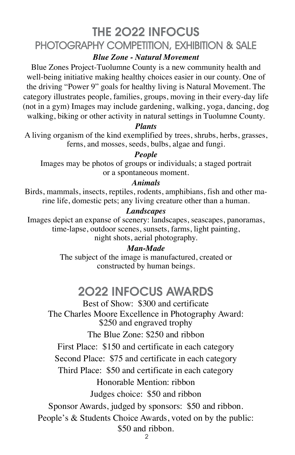## THE 2O22 INFOCUS PHOTOGRAPHY COMPETITION, EXHIBITION & SALE

*Blue Zone - Natural Movement*

Blue Zones Project-Tuolumne County is a new community health and well-being initiative making healthy choices easier in our county. One of the driving "Power 9" goals for healthy living is Natural Movement. The category illustrates people, families, groups, moving in their every-day life (not in a gym) Images may include gardening, walking, yoga, dancing, dog walking, biking or other activity in natural settings in Tuolumne County.

#### *Plants*

A living organism of the kind exemplified by trees, shrubs, herbs, grasses, ferns, and mosses, seeds, bulbs, algae and fungi.

### *People*

Images may be photos of groups or individuals; a staged portrait or a spontaneous moment.

### *Animals*

Birds, mammals, insects, reptiles, rodents, amphibians, fish and other marine life, domestic pets; any living creature other than a human.

### *Landscapes*

Images depict an expanse of scenery: landscapes, seascapes, panoramas, time-lapse, outdoor scenes, sunsets, farms, light painting, night shots, aerial photography.

### *Man-Made*

The subject of the image is manufactured, created or constructed by human beings.

### 2O22 INFOCUS AWARDS

Best of Show: \$300 and certificate The Charles Moore Excellence in Photography Award: \$250 and engraved trophy The Blue Zone: \$250 and ribbon First Place: \$150 and certificate in each category Second Place: \$75 and certificate in each category Third Place: \$50 and certificate in each category Honorable Mention: ribbon Judges choice: \$50 and ribbon Sponsor Awards, judged by sponsors: \$50 and ribbon. People's & Students Choice Awards, voted on by the public: \$50 and ribbon.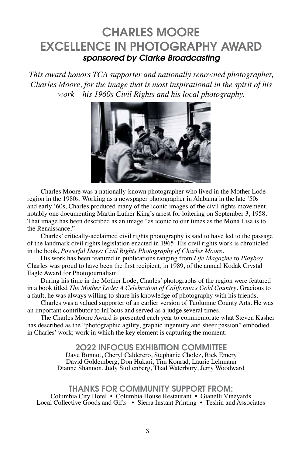### CHARLES MOORE EXCELLENCE IN PHOTOGRAPHY AWARD *sponsored by Clarke Broadcasting*

*This award honors TCA supporter and nationally renowned photographer, Charles Moore, for the image that is most inspirational in the spirit of his work – his 1960s Civil Rights and his local photography.* 



Charles Moore was a nationally-known photographer who lived in the Mother Lode region in the 1980s. Working as a newspaper photographer in Alabama in the late '50s and early '60s, Charles produced many of the iconic images of the civil rights movement, notably one documenting Martin Luther King's arrest for loitering on September 3, 1958. That image has been described as an image "as iconic to our times as the Mona Lisa is to the Renaissance."

Charles' critically-acclaimed civil rights photography is said to have led to the passage of the landmark civil rights legislation enacted in 1965. His civil rights work is chronicled in the book, *Powerful Days: Civil Rights Photography of Charles Moore.*

His work has been featured in publications ranging from *Life Magazine* to *Playboy*. Charles was proud to have been the first recipient, in 1989, of the annual Kodak Crystal Eagle Award for Photojournalism.

During his time in the Mother Lode, Charles' photographs of the region were featured in a book titled *The Mother Lode: A Celebration of California's Gold Country*. Gracious to a fault, he was always willing to share his knowledge of photography with his friends.

Charles was a valued supporter of an earlier version of Tuolumne County Arts. He was an important contributor to InFocus and served as a judge several times.

The Charles Moore Award is presented each year to commemorate what Steven Kasher has described as the "photographic agility, graphic ingenuity and sheer passion" embodied in Charles' work; work in which the key element is capturing the moment.

#### 2O22 INFOCUS EXHIBITION COMMITTEE

Dave Bonnot, Cheryl Calderero, Stephanie Cholez, Rick Emery David Goldemberg, Don Hukari, Tim Konrad, Laurie Lehmann Dianne Shannon, Judy Stoltenberg, Thad Waterbury, Jerry Woodward

THANKS FOR COMMUNITY SUPPORT FROM: Columbia City Hotel • Columbia House Restaurant • Gianelli Vineyards Local Collective Goods and Gifts • Sierra Instant Printing • Teshin and Associates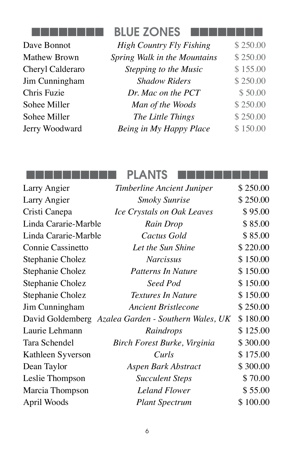

Dave Bonnot **Mathew Brown** Cheryl Calderaro Jim Cunningham Chris Fuzie Sohee Miller Sohee Miller Jerry Woodward

| <b>BLUE ZONES</b>               |          |
|---------------------------------|----------|
| <b>High Country Fly Fishing</b> | \$250.00 |
| Spring Walk in the Mountains    | \$250.00 |
| Stepping to the Music           | \$155.00 |
| <b>Shadow Riders</b>            | \$250.00 |
| Dr. Mac on the PCT              | \$50.00  |
| Man of the Woods                | \$250.00 |
| The Little Things               | \$250.00 |
| Being in My Happy Place         | \$150.00 |
|                                 |          |

### nnnnnnnnnn PLANTS nnnnnnnnnn

| Larry Angier         | Timberline Ancient Juniper                          | \$250.00 |
|----------------------|-----------------------------------------------------|----------|
| Larry Angier         | <b>Smoky Sunrise</b>                                | \$250.00 |
| Cristi Canepa        | Ice Crystals on Oak Leaves                          | \$95.00  |
| Linda Cararie-Marble | Rain Drop                                           | \$85.00  |
| Linda Cararie-Marble | Cactus Gold                                         | \$85.00  |
| Connie Cassinetto    | Let the Sun Shine                                   | \$220.00 |
| Stephanie Cholez     | <b>Narcissus</b>                                    | \$150.00 |
| Stephanie Cholez     | <b>Patterns In Nature</b>                           | \$150.00 |
| Stephanie Cholez     | Seed Pod                                            | \$150.00 |
| Stephanie Cholez     | <b>Textures In Nature</b>                           | \$150.00 |
| Jim Cunningham       | <b>Ancient Bristlecone</b>                          | \$250.00 |
|                      | David Goldemberg Azalea Garden - Southern Wales, UK | \$180.00 |
| Laurie Lehmann       | Raindrops                                           | \$125.00 |
| Tara Schendel        | Birch Forest Burke, Virginia                        | \$300.00 |
| Kathleen Syverson    | Curls                                               | \$175.00 |
| Dean Taylor          | Aspen Bark Abstract                                 | \$300.00 |
| Leslie Thompson      | <b>Succulent Steps</b>                              | \$70.00  |
| Marcia Thompson      | <b>Leland Flower</b>                                | \$55.00  |
| April Woods          | <b>Plant Spectrum</b>                               | \$100.00 |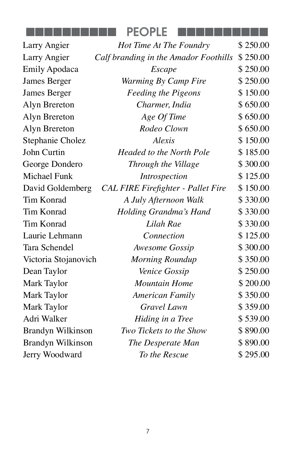|  |  |  |  | ----------- |  | <b>PEOPLE</b> |  |  |  |  |  |  |  | __________ |  |
|--|--|--|--|-------------|--|---------------|--|--|--|--|--|--|--|------------|--|
|  |  |  |  |             |  |               |  |  |  |  |  |  |  |            |  |

| Larry Angier             | Hot Time At The Foundry                   | \$250.00 |
|--------------------------|-------------------------------------------|----------|
| Larry Angier             | Calf branding in the Amador Foothills     | \$250.00 |
| <b>Emily Apodaca</b>     | Escape                                    | \$250.00 |
| James Berger             | Warming By Camp Fire                      | \$250.00 |
| James Berger             | <b>Feeding the Pigeons</b>                | \$150.00 |
| Alyn Brereton            | Charmer, India                            | \$650.00 |
| Alyn Brereton            | Age Of Time                               | \$650.00 |
| Alyn Brereton            | Rodeo Clown                               | \$650.00 |
| Stephanie Cholez         | Alexis                                    | \$150.00 |
| <b>John Curtin</b>       | <b>Headed to the North Pole</b>           | \$185.00 |
| George Dondero           | Through the Village                       | \$300.00 |
| <b>Michael Funk</b>      | <i>Introspection</i>                      | \$125.00 |
| David Goldemberg         | <b>CAL FIRE Firefighter - Pallet Fire</b> | \$150.00 |
| <b>Tim Konrad</b>        | A July Afternoon Walk                     | \$330.00 |
| Tim Konrad               | Holding Grandma's Hand                    | \$330.00 |
| <b>Tim Konrad</b>        | Lilah Rae                                 | \$330.00 |
| Laurie Lehmann           | Connection                                | \$125.00 |
| Tara Schendel            | Awesome Gossip                            | \$300.00 |
| Victoria Stojanovich     | Morning Roundup                           | \$350.00 |
| Dean Taylor              | Venice Gossip                             | \$250.00 |
| Mark Taylor              | <b>Mountain Home</b>                      | \$200.00 |
| Mark Taylor              | <b>American Family</b>                    | \$350.00 |
| Mark Taylor              | <b>Gravel Lawn</b>                        | \$359.00 |
| Adri Walker              | Hiding in a Tree                          | \$539.00 |
| <b>Brandyn Wilkinson</b> | Two Tickets to the Show                   | \$890.00 |
| Brandyn Wilkinson        | The Desperate Man                         | \$890.00 |
| Jerry Woodward           | To the Rescue                             | \$295.00 |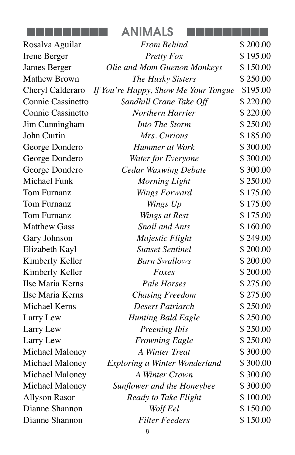| <b>ANIMALS</b> |  |
|----------------|--|
|                |  |

| Rosalva Aguilar          | <b>From Behind</b>                   | \$200.00 |
|--------------------------|--------------------------------------|----------|
| Irene Berger             | <b>Pretty Fox</b>                    | \$195.00 |
| James Berger             | Olie and Mom Guenon Monkeys          | \$150.00 |
| <b>Mathew Brown</b>      | The Husky Sisters                    | \$250.00 |
| Cheryl Calderaro         | If You're Happy, Show Me Your Tongue | \$195.00 |
| <b>Connie Cassinetto</b> | Sandhill Crane Take Off              | \$220.00 |
| Connie Cassinetto        | Northern Harrier                     | \$220.00 |
| Jim Cunningham           | Into The Storm                       | \$250.00 |
| John Curtin              | Mrs. Curious                         | \$185.00 |
| George Dondero           | Hummer at Work                       | \$300.00 |
| George Dondero           | Water for Everyone                   | \$300.00 |
| George Dondero           | <b>Cedar Waxwing Debate</b>          | \$300.00 |
| Michael Funk             | Morning Light                        | \$250.00 |
| <b>Tom Furnanz</b>       | Wings Forward                        | \$175.00 |
| Tom Furnanz              | Wings Up                             | \$175.00 |
| <b>Tom Furnanz</b>       | Wings at Rest                        | \$175.00 |
| <b>Matthew Gass</b>      | <b>Snail and Ants</b>                | \$160.00 |
| Gary Johnson             | Majestic Flight                      | \$249.00 |
| Elizabeth Kayl           | <b>Sunset Sentinel</b>               | \$200.00 |
| Kimberly Keller          | <b>Barn Swallows</b>                 | \$200.00 |
| Kimberly Keller          | Foxes                                | \$200.00 |
| Ilse Maria Kerns         | <b>Pale Horses</b>                   | \$275.00 |
| Ilse Maria Kerns         | <b>Chasing Freedom</b>               | \$275.00 |
| <b>Michael Kerns</b>     | Desert Patriarch                     | \$250.00 |
| Larry Lew                | <b>Hunting Bald Eagle</b>            | \$250.00 |
| Larry Lew                | Preening Ibis                        | \$250.00 |
| Larry Lew                | <b>Frowning Eagle</b>                | \$250.00 |
| Michael Maloney          | <b>A Winter Treat</b>                | \$300.00 |
| Michael Maloney          | Exploring a Winter Wonderland        | \$300.00 |
| Michael Maloney          | A Winter Crown                       | \$300.00 |
| Michael Maloney          | Sunflower and the Honeybee           | \$300.00 |
| <b>Allyson Rasor</b>     | Ready to Take Flight                 | \$100.00 |
| Dianne Shannon           | Wolf Eel                             | \$150.00 |
| Dianne Shannon           | <b>Filter Feeders</b>                | \$150.00 |
|                          |                                      |          |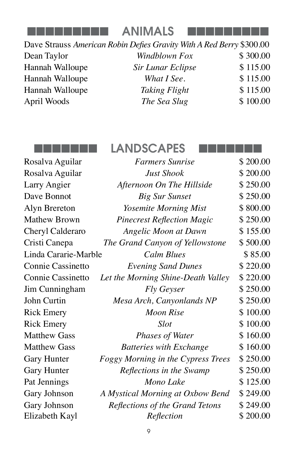

**ANIMALS** 

Dave Strauss *American Robin Defies Gravity With A Red Berry* \$300.00 Dean Taylor *Windblown Fox* \$ 300.00 Hannah Walloupe *Sir Lunar Eclipse* \$ 115.00 Hannah Walloupe *What I See*.  $$115.00$ Hannah Walloupe *Taking Flight* \$ 115.00 April Woods *The Sea Slug* \$ 100.00

nnnnnnn LANDSCAPES nnnnnnn

| Rosalva Aguilar      | <b>Farmers Sunrise</b>             | \$200.00 |
|----------------------|------------------------------------|----------|
| Rosalva Aguilar      | <b>Just Shook</b>                  | \$200.00 |
| Larry Angier         | Afternoon On The Hillside          | \$250.00 |
| Dave Bonnot          | <b>Big Sur Sunset</b>              | \$250.00 |
| Alyn Brereton        | Yosemite Morning Mist              | \$800.00 |
| <b>Mathew Brown</b>  | <b>Pinecrest Reflection Magic</b>  | \$250.00 |
| Cheryl Calderaro     | <b>Angelic Moon at Dawn</b>        | \$155.00 |
| Cristi Canepa        | The Grand Canyon of Yellowstone    | \$500.00 |
| Linda Cararie-Marble | <b>Calm Blues</b>                  | \$85.00  |
| Connie Cassinetto    | <b>Evening Sand Dunes</b>          | \$220.00 |
| Connie Cassinetto    | Let the Morning Shine-Death Valley | \$220.00 |
| Jim Cunningham       | <b>Fly Geyser</b>                  | \$250.00 |
| John Curtin          | Mesa Arch, Canyonlands NP          | \$250.00 |
| <b>Rick Emery</b>    | <b>Moon Rise</b>                   | \$100.00 |
| <b>Rick Emery</b>    | <b>Slot</b>                        | \$100.00 |
| <b>Matthew Gass</b>  | <b>Phases of Water</b>             | \$160.00 |
| <b>Matthew Gass</b>  | <b>Batteries with Exchange</b>     | \$160.00 |
| <b>Gary Hunter</b>   | Foggy Morning in the Cypress Trees | \$250.00 |
| <b>Gary Hunter</b>   | Reflections in the Swamp           | \$250.00 |
| Pat Jennings         | Mono Lake                          | \$125.00 |
| Gary Johnson         | A Mystical Morning at Oxbow Bend   | \$249.00 |
| Gary Johnson         | Reflections of the Grand Tetons    | \$249.00 |
| Elizabeth Kayl       | Reflection                         | \$200.00 |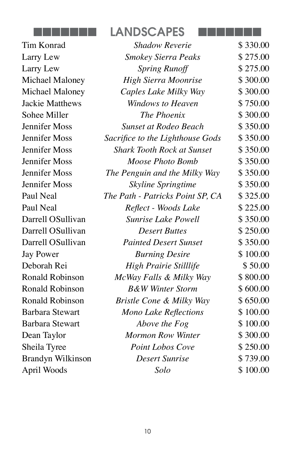

Tim Konrad Larry Lew Larry Lew  $Michael Maloney$ **Michael Maloney Jackie Matthews** Sohee Miller **Jennifer Moss Jennifer Moss** *S* **Jennifer Moss** *Jennifer Moss* Jennifer Moss *The Penguin and the Milky Way* \$ 350.00 **Jennifer Moss** Paul Neal *T<sub>h</sub>* Paul Neal Darrell OSullivan Darrell OSullivan Darrell OSullivan *Painted Desert Sunset* \$ 350.00 Jay Power Deborah Rei Ronald Robinson *McWay Falls & Milky Way* \$ 800.00 Ronald Robinson *B&W Winter Storm* \$ 600.00 Ronald Robinson *Bristle Cone & Milky Way* \$ 650.00 **Barbara Stewart Barbara Stewart** Dean Taylor Sheila Tyree Brandyn Wilkinson *Desert Sunrise* \$ 739.00 April Woods

| <b>Shadow Reverie</b>             | \$330.00 |
|-----------------------------------|----------|
| <b>Smokey Sierra Peaks</b>        | \$275.00 |
| <b>Spring Runoff</b>              | \$275.00 |
| High Sierra Moonrise              | \$300.00 |
| Caples Lake Milky Way             | \$300.00 |
| <b>Windows to Heaven</b>          | \$750.00 |
| The Phoenix                       | \$300.00 |
| <b>Sunset at Rodeo Beach</b>      | \$350.00 |
| acrifice to the Lighthouse Gods   | \$350.00 |
| <b>Shark Tooth Rock at Sunset</b> | \$350.00 |
| Moose Photo Bomb                  | \$350.00 |
| The Penguin and the Milky Way     | \$350.00 |
| <b>Skyline Springtime</b>         | \$350.00 |
| he Path - Patricks Point SP, CA   | \$325.00 |
| Reflect - Woods Lake              | \$225.00 |
| <b>Sunrise Lake Powell</b>        | \$350.00 |
| <b>Desert Buttes</b>              | \$250.00 |
| <b>Painted Desert Sunset</b>      | \$350.00 |
| <b>Burning Desire</b>             | \$100.00 |
| High Prairie Stilllife            | \$50.00  |
| McWay Falls & Milky Way           | \$800.00 |
| <b>B&amp;W Winter Storm</b>       | \$600.00 |
| Bristle Cone & Milky Way          | \$650.00 |
| Mono Lake Reflections             | \$100.00 |
| Above the Fog                     | \$100.00 |
| <b>Mormon Row Winter</b>          | \$300.00 |
| <b>Point Lobos Cove</b>           | \$250.00 |
| <b>Desert Sunrise</b>             | \$739.00 |
| Solo                              | \$100.00 |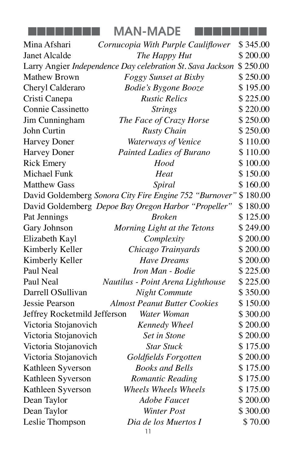|  |  | <b>MAN-MADE</b> |  |
|--|--|-----------------|--|
|--|--|-----------------|--|

| Mina Afshari                 | Cornucopia With Purple Cauliflower                         | \$345.00 |
|------------------------------|------------------------------------------------------------|----------|
| Janet Alcalde                | The Happy Hut                                              | \$200.00 |
|                              | Larry Angier Independence Day celebration St. Sava Jackson | \$250.00 |
| <b>Mathew Brown</b>          | <b>Foggy Sunset at Bixby</b>                               | \$250.00 |
| Cheryl Calderaro             | <b>Bodie's Bygone Booze</b>                                | \$195.00 |
| Cristi Canepa                | <b>Rustic Relics</b>                                       | \$225.00 |
| Connie Cassinetto            | <b>Strings</b>                                             | \$220.00 |
| Jim Cunningham               | The Face of Crazy Horse                                    | \$250.00 |
| John Curtin                  | <b>Rusty Chain</b>                                         | \$250.00 |
| <b>Harvey Doner</b>          | <b>Waterways of Venice</b>                                 | \$110.00 |
| <b>Harvey Doner</b>          | Painted Ladies of Burano                                   | \$110.00 |
| <b>Rick Emery</b>            | Hood                                                       | \$100.00 |
| <b>Michael Funk</b>          | Heat                                                       | \$150.00 |
| <b>Matthew Gass</b>          | Spiral                                                     | \$160.00 |
|                              | David Goldemberg Sonora City Fire Engine 752 "Burnover"    | \$180.00 |
|                              | David Goldemberg Depoe Bay Oregon Harbor "Propeller"       | \$180.00 |
| Pat Jennings                 | <b>Broken</b>                                              | \$125.00 |
| Gary Johnson                 | Morning Light at the Tetons                                | \$249.00 |
| Elizabeth Kayl               | Complexity                                                 | \$200.00 |
| Kimberly Keller              | Chicago Trainyards                                         | \$200.00 |
| Kimberly Keller              | <b>Have Dreams</b>                                         | \$200.00 |
| Paul Neal                    | Iron Man - Bodie                                           | \$225.00 |
| Paul Neal                    | Nautilus - Point Arena Lighthouse                          | \$225.00 |
| Darrell OSullivan            | Night Commute                                              | \$350.00 |
| Jessie Pearson               | <b>Almost Peanut Butter Cookies</b>                        | \$150.00 |
| Jeffrey Rocketmild Jefferson | Water Woman                                                | \$300.00 |
| Victoria Stojanovich         | <b>Kennedy Wheel</b>                                       | \$200.00 |
| Victoria Stojanovich         | <b>Set in Stone</b>                                        | \$200.00 |
| Victoria Stojanovich         | <b>Star Stuck</b>                                          | \$175.00 |
| Victoria Stojanovich         | Goldfields Forgotten                                       | \$200.00 |
| Kathleen Syverson            | <b>Books and Bells</b>                                     | \$175.00 |
| Kathleen Syverson            | Romantic Reading                                           | \$175.00 |
| Kathleen Syverson            | <b>Wheels Wheels Wheels</b>                                | \$175.00 |
| Dean Taylor                  | <b>Adobe Faucet</b>                                        | \$200.00 |
| Dean Taylor                  | Winter Post                                                | \$300.00 |
| Leslie Thompson              | Dia de los Muertos I                                       | \$70.00  |
|                              |                                                            |          |